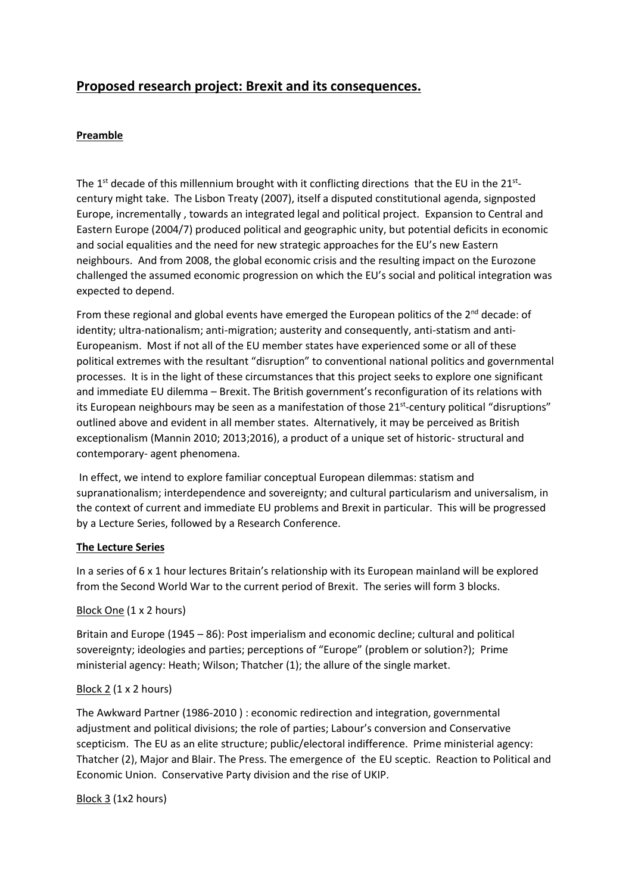# **Proposed research project: Brexit and its consequences.**

## **Preamble**

The 1<sup>st</sup> decade of this millennium brought with it conflicting directions that the EU in the 21<sup>st</sup>century might take. The Lisbon Treaty (2007), itself a disputed constitutional agenda, signposted Europe, incrementally , towards an integrated legal and political project. Expansion to Central and Eastern Europe (2004/7) produced political and geographic unity, but potential deficits in economic and social equalities and the need for new strategic approaches for the EU's new Eastern neighbours. And from 2008, the global economic crisis and the resulting impact on the Eurozone challenged the assumed economic progression on which the EU's social and political integration was expected to depend.

From these regional and global events have emerged the European politics of the  $2^{nd}$  decade: of identity; ultra-nationalism; anti-migration; austerity and consequently, anti-statism and anti-Europeanism. Most if not all of the EU member states have experienced some or all of these political extremes with the resultant "disruption" to conventional national politics and governmental processes. It is in the light of these circumstances that this project seeks to explore one significant and immediate EU dilemma – Brexit. The British government's reconfiguration of its relations with its European neighbours may be seen as a manifestation of those 21<sup>st</sup>-century political "disruptions" outlined above and evident in all member states. Alternatively, it may be perceived as British exceptionalism (Mannin 2010; 2013;2016), a product of a unique set of historic- structural and contemporary- agent phenomena.

In effect, we intend to explore familiar conceptual European dilemmas: statism and supranationalism; interdependence and sovereignty; and cultural particularism and universalism, in the context of current and immediate EU problems and Brexit in particular. This will be progressed by a Lecture Series, followed by a Research Conference.

#### **The Lecture Series**

In a series of 6 x 1 hour lectures Britain's relationship with its European mainland will be explored from the Second World War to the current period of Brexit. The series will form 3 blocks.

#### Block One (1 x 2 hours)

Britain and Europe (1945 – 86): Post imperialism and economic decline; cultural and political sovereignty; ideologies and parties; perceptions of "Europe" (problem or solution?); Prime ministerial agency: Heath; Wilson; Thatcher (1); the allure of the single market.

#### Block 2 (1 x 2 hours)

The Awkward Partner (1986-2010 ) : economic redirection and integration, governmental adjustment and political divisions; the role of parties; Labour's conversion and Conservative scepticism. The EU as an elite structure; public/electoral indifference. Prime ministerial agency: Thatcher (2), Major and Blair. The Press. The emergence of the EU sceptic. Reaction to Political and Economic Union. Conservative Party division and the rise of UKIP.

Block 3 (1x2 hours)